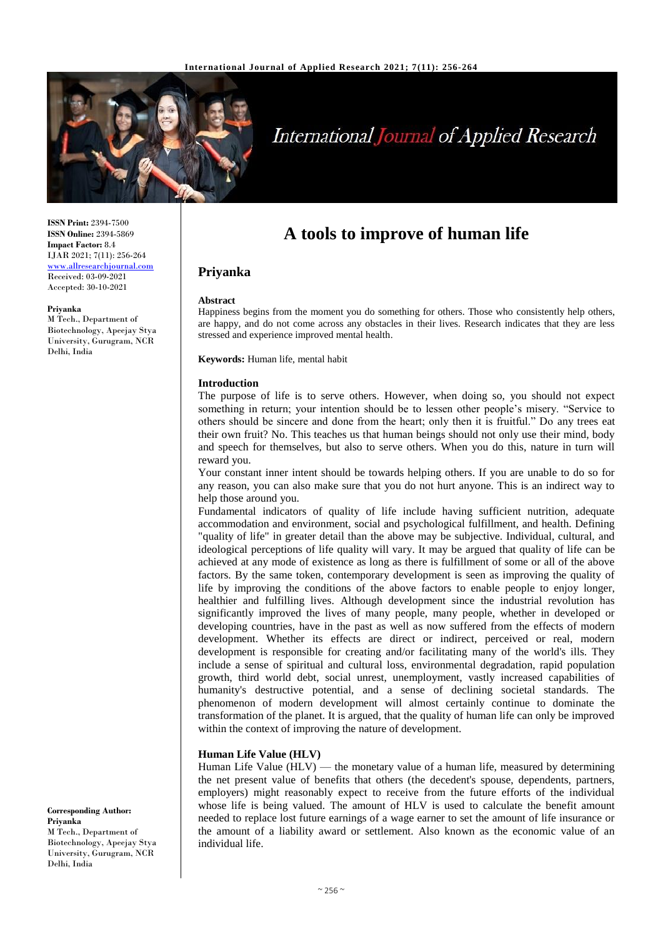

# **International Journal of Applied Research**

**ISSN Print:** 2394-7500 **ISSN Online:** 2394-5869 **Impact Factor:** 8.4 IJAR 2021; 7(11): 256-264 [www.allresearchjournal.com](http://www.allresearchjournal.com/) Received: 03-09-2021 Accepted: 30-10-2021

#### **Priyanka**

M Tech., Department of Biotechnology, Apeejay Stya University, Gurugram, NCR Delhi, India

**A tools to improve of human life**

# **Priyanka**

#### **Abstract**

Happiness begins from the moment you do something for others. Those who consistently help others, are happy, and do not come across any obstacles in their lives. Research indicates that they are less stressed and experience improved mental health.

**Keywords:** Human life, mental habit

#### **Introduction**

The purpose of life is to serve others. However, when doing so, you should not expect something in return; your intention should be to lessen other people's misery. "Service to others should be sincere and done from the heart; only then it is fruitful." Do any trees eat their own fruit? No. This teaches us that human beings should not only use their mind, body and speech for themselves, but also to serve others. When you do this, nature in turn will reward you.

Your constant inner intent should be towards helping others. If you are unable to do so for any reason, you can also make sure that you do not hurt anyone. This is an indirect way to help those around you.

Fundamental indicators of quality of life include having sufficient nutrition, adequate accommodation and environment, social and psychological fulfillment, and health. Defining "quality of life" in greater detail than the above may be subjective. Individual, cultural, and ideological perceptions of life quality will vary. It may be argued that quality of life can be achieved at any mode of existence as long as there is fulfillment of some or all of the above factors. By the same token, contemporary development is seen as improving the quality of life by improving the conditions of the above factors to enable people to enjoy longer, healthier and fulfilling lives. Although development since the industrial revolution has significantly improved the lives of many people, many people, whether in developed or developing countries, have in the past as well as now suffered from the effects of modern development. Whether its effects are direct or indirect, perceived or real, modern development is responsible for creating and/or facilitating many of the world's ills. They include a sense of spiritual and cultural loss, environmental degradation, rapid population growth, third world debt, social unrest, unemployment, vastly increased capabilities of humanity's destructive potential, and a sense of declining societal standards. The phenomenon of modern development will almost certainly continue to dominate the transformation of the planet. It is argued, that the quality of human life can only be improved within the context of improving the nature of development.

## **Human Life Value (HLV)**

Human Life Value (HLV) — the monetary value of a human life, measured by determining the net present value of benefits that others (the decedent's spouse, dependents, partners, employers) might reasonably expect to receive from the future efforts of the individual whose life is being valued. The amount of HLV is used to calculate the benefit amount needed to replace lost future earnings of a wage earner to set the amount of life insurance or the amount of a liability award or settlement. Also known as the economic value of an individual life.

**Corresponding Author: Priyanka**  M Tech., Department of Biotechnology, Apeejay Stya University, Gurugram, NCR Delhi, India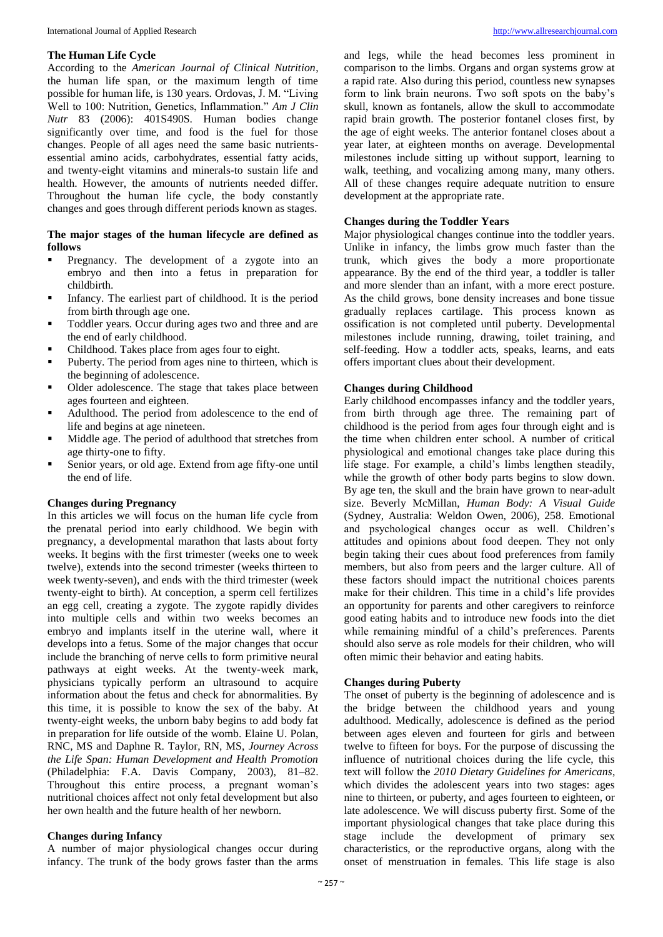#### **The Human Life Cycle**

According to the *American Journal of Clinical Nutrition*, the human life span, or the maximum length of time possible for human life, is 130 years. Ordovas, J. M. "Living Well to 100: Nutrition, Genetics, Inflammation." *Am J Clin Nutr* 83 (2006): 401S490S. Human bodies change significantly over time, and food is the fuel for those changes. People of all ages need the same basic nutrientsessential amino acids, carbohydrates, essential fatty acids, and twenty-eight vitamins and minerals-to sustain life and health. However, the amounts of nutrients needed differ. Throughout the human life cycle, the body constantly changes and goes through different periods known as stages.

## **The major stages of the human lifecycle are defined as follows**

- Pregnancy. The development of a zygote into an embryo and then into a fetus in preparation for childbirth.
- Infancy. The earliest part of childhood. It is the period from birth through age one.
- **Toddler years. Occur during ages two and three and are** the end of early childhood.
- Childhood. Takes place from ages four to eight.
- Puberty. The period from ages nine to thirteen, which is the beginning of adolescence.
- Older adolescence. The stage that takes place between ages fourteen and eighteen.
- Adulthood. The period from adolescence to the end of life and begins at age nineteen.
- $\blacksquare$  Middle age. The period of adulthood that stretches from age thirty-one to fifty.
- Senior years, or old age. Extend from age fifty-one until the end of life.

## **Changes during Pregnancy**

In this articles we will focus on the human life cycle from the prenatal period into early childhood. We begin with pregnancy, a developmental marathon that lasts about forty weeks. It begins with the first trimester (weeks one to week twelve), extends into the second trimester (weeks thirteen to week twenty-seven), and ends with the third trimester (week twenty-eight to birth). At conception, a sperm cell fertilizes an egg cell, creating a zygote. The zygote rapidly divides into multiple cells and within two weeks becomes an embryo and implants itself in the uterine wall, where it develops into a fetus. Some of the major changes that occur include the branching of nerve cells to form primitive neural pathways at eight weeks. At the twenty-week mark, physicians typically perform an ultrasound to acquire information about the fetus and check for abnormalities. By this time, it is possible to know the sex of the baby. At twenty-eight weeks, the unborn baby begins to add body fat in preparation for life outside of the womb. Elaine U. Polan, RNC, MS and Daphne R. Taylor, RN, MS, *Journey Across the Life Span: Human Development and Health Promotion* (Philadelphia: F.A. Davis Company, 2003), 81–82. Throughout this entire process, a pregnant woman's nutritional choices affect not only fetal development but also her own health and the future health of her newborn.

#### **Changes during Infancy**

A number of major physiological changes occur during infancy. The trunk of the body grows faster than the arms

and legs, while the head becomes less prominent in comparison to the limbs. Organs and organ systems grow at a rapid rate. Also during this period, countless new synapses form to link brain neurons. Two soft spots on the baby's skull, known as fontanels, allow the skull to accommodate rapid brain growth. The posterior fontanel closes first, by the age of eight weeks. The anterior fontanel closes about a year later, at eighteen months on average. Developmental milestones include sitting up without support, learning to walk, teething, and vocalizing among many, many others. All of these changes require adequate nutrition to ensure development at the appropriate rate.

#### **Changes during the Toddler Years**

Major physiological changes continue into the toddler years. Unlike in infancy, the limbs grow much faster than the trunk, which gives the body a more proportionate appearance. By the end of the third year, a toddler is taller and more slender than an infant, with a more erect posture. As the child grows, bone density increases and bone tissue gradually replaces cartilage. This process known as ossification is not completed until puberty. Developmental milestones include running, drawing, toilet training, and self-feeding. How a toddler acts, speaks, learns, and eats offers important clues about their development.

#### **Changes during Childhood**

Early childhood encompasses infancy and the toddler years, from birth through age three. The remaining part of childhood is the period from ages four through eight and is the time when children enter school. A number of critical physiological and emotional changes take place during this life stage. For example, a child's limbs lengthen steadily, while the growth of other body parts begins to slow down. By age ten, the skull and the brain have grown to near-adult size. Beverly McMillan, *Human Body: A Visual Guide* (Sydney, Australia: Weldon Owen, 2006), 258. Emotional and psychological changes occur as well. Children's attitudes and opinions about food deepen. They not only begin taking their cues about food preferences from family members, but also from peers and the larger culture. All of these factors should impact the nutritional choices parents make for their children. This time in a child's life provides an opportunity for parents and other caregivers to reinforce good eating habits and to introduce new foods into the diet while remaining mindful of a child's preferences. Parents should also serve as role models for their children, who will often mimic their behavior and eating habits.

#### **Changes during Puberty**

The onset of puberty is the beginning of adolescence and is the bridge between the childhood years and young adulthood. Medically, adolescence is defined as the period between ages eleven and fourteen for girls and between twelve to fifteen for boys. For the purpose of discussing the influence of nutritional choices during the life cycle, this text will follow the *2010 Dietary Guidelines for Americans*, which divides the adolescent years into two stages: ages nine to thirteen, or puberty, and ages fourteen to eighteen, or late adolescence. We will discuss puberty first. Some of the important physiological changes that take place during this stage include the development of primary sex characteristics, or the reproductive organs, along with the onset of menstruation in females. This life stage is also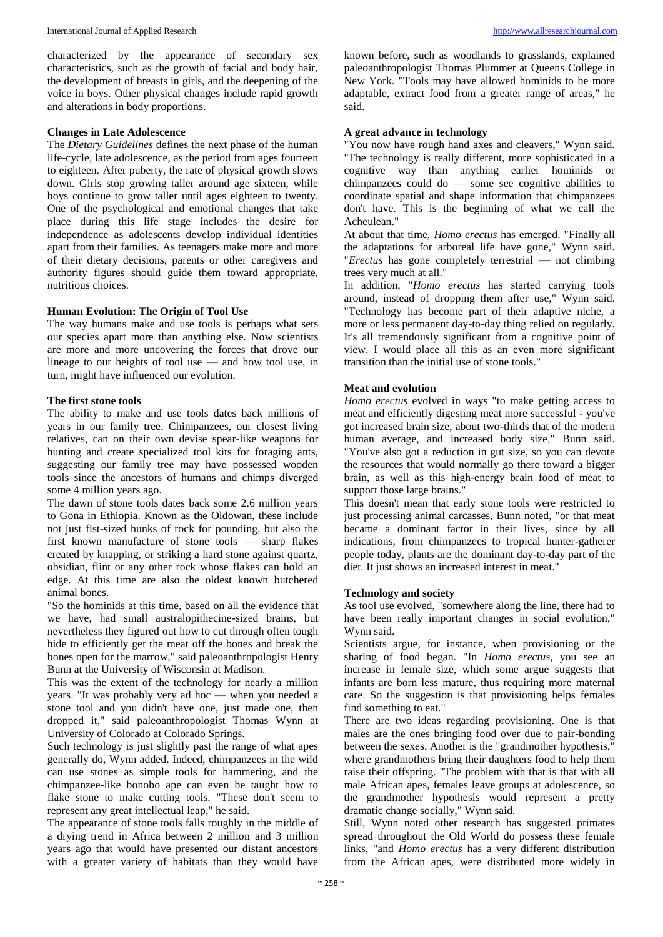characterized by the appearance of secondary sex characteristics, such as the growth of facial and body hair, the development of breasts in girls, and the deepening of the voice in boys. Other physical changes include rapid growth and alterations in body proportions.

## **Changes in Late Adolescence**

The *Dietary Guidelines* defines the next phase of the human life-cycle, late adolescence, as the period from ages fourteen to eighteen. After puberty, the rate of physical growth slows down. Girls stop growing taller around age sixteen, while boys continue to grow taller until ages eighteen to twenty. One of the psychological and emotional changes that take place during this life stage includes the desire for independence as adolescents develop individual identities apart from their families. As teenagers make more and more of their dietary decisions, parents or other caregivers and authority figures should guide them toward appropriate, nutritious choices.

## **Human Evolution: The Origin of Tool Use**

The way humans make and use tools is perhaps what sets our species apart more than anything else. Now scientists are more and more uncovering the forces that drove our lineage to our heights of tool use — and how tool use, in turn, might have influenced our evolution.

## **The first stone tools**

The ability to make and use tools dates back millions of years in our family tree. Chimpanzees, our closest living relatives, can on their own devise spear-like weapons for hunting and create specialized tool kits for foraging ants, suggesting our family tree may have possessed wooden tools since the ancestors of humans and chimps diverged some 4 million years ago.

The dawn of stone tools dates back some 2.6 million years to Gona in Ethiopia. Known as the Oldowan, these include not just fist-sized hunks of rock for pounding, but also the first known manufacture of stone tools — sharp flakes created by knapping, or striking a hard stone against quartz, obsidian, flint or any other rock whose flakes can hold an edge. At this time are also the oldest known butchered animal bones.

"So the hominids at this time, based on all the evidence that we have, had small australopithecine-sized brains, but nevertheless they figured out how to cut through often tough hide to efficiently get the meat off the bones and break the bones open for the marrow," said paleoanthropologist Henry Bunn at the University of Wisconsin at Madison.

This was the extent of the technology for nearly a million years. "It was probably very ad hoc — when you needed a stone tool and you didn't have one, just made one, then dropped it," said paleoanthropologist Thomas Wynn at University of Colorado at Colorado Springs.

Such technology is just slightly past the range of what apes generally do, Wynn added. Indeed, chimpanzees in the wild can use stones as simple tools for hammering, and the chimpanzee-like bonobo ape can even be taught how to flake stone to make cutting tools. "These don't seem to represent any great intellectual leap," he said.

The appearance of stone tools falls roughly in the middle of a drying trend in Africa between 2 million and 3 million years ago that would have presented our distant ancestors with a greater variety of habitats than they would have

known before, such as woodlands to grasslands, explained paleoanthropologist Thomas Plummer at Queens College in New York. "Tools may have allowed hominids to be more adaptable, extract food from a greater range of areas," he said.

## **A great advance in technology**

"You now have rough hand axes and cleavers," Wynn said. "The technology is really different, more sophisticated in a cognitive way than anything earlier hominids or chimpanzees could do — some see cognitive abilities to coordinate spatial and shape information that chimpanzees don't have. This is the beginning of what we call the Acheulean."

At about that time, *Homo erectus* has emerged. "Finally all the adaptations for arboreal life have gone," Wynn said. "*Erectus* has gone completely terrestrial — not climbing trees very much at all."

In addition, "*Homo erectus* has started carrying tools around, instead of dropping them after use," Wynn said. "Technology has become part of their adaptive niche, a more or less permanent day-to-day thing relied on regularly. It's all tremendously significant from a cognitive point of view. I would place all this as an even more significant transition than the initial use of stone tools."

# **Meat and evolution**

*Homo erectus* evolved in ways "to make getting access to meat and efficiently digesting meat more successful - you've got increased brain size, about two-thirds that of the modern human average, and increased body size," Bunn said. "You've also got a reduction in gut size, so you can devote the resources that would normally go there toward a bigger brain, as well as this high-energy brain food of meat to support those large brains."

This doesn't mean that early stone tools were restricted to just processing animal carcasses, Bunn noted, "or that meat became a dominant factor in their lives, since by all indications, from chimpanzees to tropical hunter-gatherer people today, plants are the dominant day-to-day part of the diet. It just shows an increased interest in meat."

#### **Technology and society**

As tool use evolved, "somewhere along the line, there had to have been really important changes in social evolution," Wynn said.

Scientists argue, for instance, when provisioning or the sharing of food began. "In *Homo erectus*, you see an increase in female size, which some argue suggests that infants are born less mature, thus requiring more maternal care. So the suggestion is that provisioning helps females find something to eat."

There are two ideas regarding provisioning. One is that males are the ones bringing food over due to pair-bonding between the sexes. Another is the "grandmother hypothesis," where grandmothers bring their daughters food to help them raise their offspring. "The problem with that is that with all male African apes, females leave groups at adolescence, so the grandmother hypothesis would represent a pretty dramatic change socially," Wynn said.

Still, Wynn noted other research has suggested primates spread throughout the Old World do possess these female links, "and *Homo erectus* has a very different distribution from the African apes, were distributed more widely in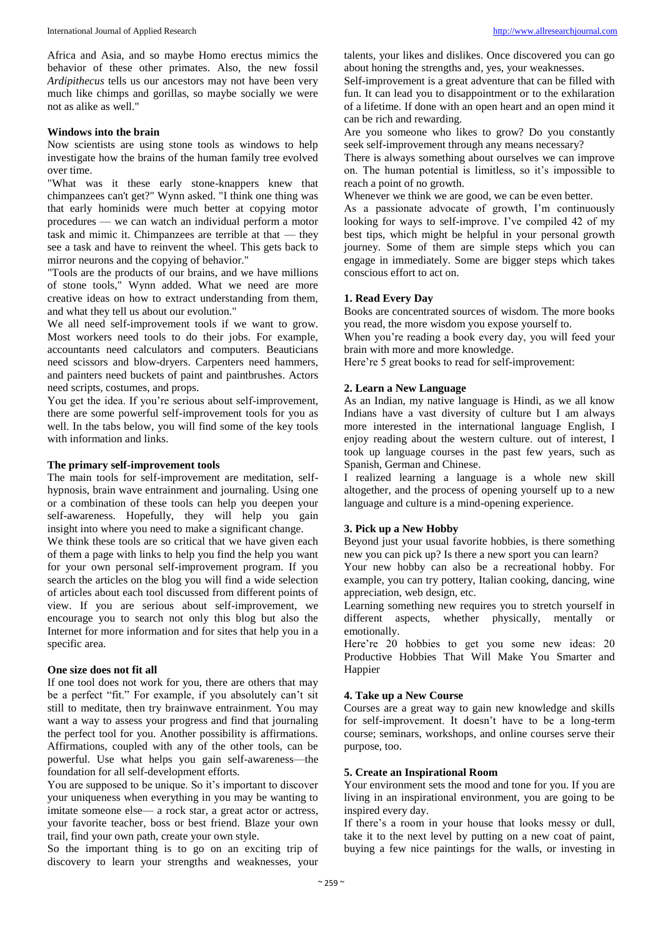Africa and Asia, and so maybe Homo erectus mimics the behavior of these other primates. Also, the new fossil *Ardipithecus* tells us our ancestors may not have been very much like chimps and gorillas, so maybe socially we were not as alike as well."

## **Windows into the brain**

Now scientists are using stone tools as windows to help investigate how the brains of the human family tree evolved over time.

"What was it these early stone-knappers knew that chimpanzees can't get?" Wynn asked. "I think one thing was that early hominids were much better at copying motor procedures — we can watch an individual perform a motor task and mimic it. Chimpanzees are terrible at that — they see a task and have to reinvent the wheel. This gets back to mirror neurons and the copying of behavior."

"Tools are the products of our brains, and we have millions of stone tools," Wynn added. What we need are more creative ideas on how to extract understanding from them, and what they tell us about our evolution."

We all need self-improvement tools if we want to grow. Most workers need tools to do their jobs. For example, accountants need calculators and computers. Beauticians need scissors and blow-dryers. Carpenters need hammers, and painters need buckets of paint and paintbrushes. Actors need scripts, costumes, and props.

You get the idea. If you're serious about self-improvement, there are some powerful self-improvement tools for you as well. In the tabs below, you will find some of the key tools with information and links.

#### **The primary self-improvement tools**

The main tools for self-improvement are meditation, selfhypnosis, brain wave entrainment and journaling. Using one or a combination of these tools can help you deepen your self-awareness. Hopefully, they will help you gain insight into where you need to make a significant change.

We think these tools are so critical that we have given each of them a page with links to help you find the help you want for your own personal self-improvement program. If you search the articles on the blog you will find a wide selection of articles about each tool discussed from different points of view. If you are serious about self-improvement, we encourage you to search not only this blog but also the Internet for more information and for sites that help you in a specific area.

## **One size does not fit all**

If one tool does not work for you, there are others that may be a perfect "fit." For example, if you absolutely can't sit still to meditate, then try brainwave entrainment. You may want a way to assess your progress and find that journaling the perfect tool for you. Another possibility is affirmations. Affirmations, coupled with any of the other tools, can be powerful. Use what helps you gain self-awareness—the foundation for all self-development efforts.

You are supposed to be unique. So it's important to discover your uniqueness when everything in you may be wanting to imitate someone else— a rock star, a great actor or actress, your favorite teacher, boss or best friend. Blaze your own trail, find your own path, create your own style.

So the important thing is to go on an exciting trip of discovery to learn your strengths and weaknesses, your talents, your likes and dislikes. Once discovered you can go about honing the strengths and, yes, your weaknesses.

Self-improvement is a great adventure that can be filled with fun. It can lead you to disappointment or to the exhilaration of a lifetime. If done with an open heart and an open mind it can be rich and rewarding.

Are you someone who likes to grow? Do you constantly seek self-improvement through any means necessary?

There is always something about ourselves we can improve on. The human potential is limitless, so it's impossible to reach a point of no growth.

Whenever we think we are good, we can be even better.

As a passionate advocate of growth, I'm continuously looking for ways to self-improve. I've compiled 42 of my best tips, which might be helpful in your personal growth journey. Some of them are simple steps which you can engage in immediately. Some are bigger steps which takes conscious effort to act on.

#### **1. Read Every Day**

Books are concentrated sources of wisdom. The more books you read, the more wisdom you expose yourself to.

When you're reading a book every day, you will feed your brain with more and more knowledge.

Here're 5 great books to read for self-improvement:

#### **2. Learn a New Language**

As an Indian, my native language is Hindi, as we all know Indians have a vast diversity of culture but I am always more interested in the international language English, I enjoy reading about the western culture. out of interest, I took up language courses in the past few years, such as Spanish, German and Chinese.

I realized learning a language is a whole new skill altogether, and the process of opening yourself up to a new language and culture is a mind-opening experience.

## **3. Pick up a New Hobby**

Beyond just your usual favorite hobbies, is there something new you can pick up? Is there a new sport you can learn?

Your new hobby can also be a recreational hobby. For example, you can try pottery, Italian cooking, dancing, wine appreciation, web design, etc.

Learning something new requires you to stretch yourself in different aspects, whether physically, mentally or emotionally.

Here're 20 hobbies to get you some new ideas: 20 Productive Hobbies That Will Make You Smarter and Happier

#### **4. Take up a New Course**

Courses are a great way to gain new knowledge and skills for self-improvement. It doesn't have to be a long-term course; seminars, workshops, and online courses serve their purpose, too.

## **5. Create an Inspirational Room**

Your environment sets the mood and tone for you. If you are living in an inspirational environment, you are going to be inspired every day.

If there's a room in your house that looks messy or dull, take it to the next level by putting on a new coat of paint, buying a few nice paintings for the walls, or investing in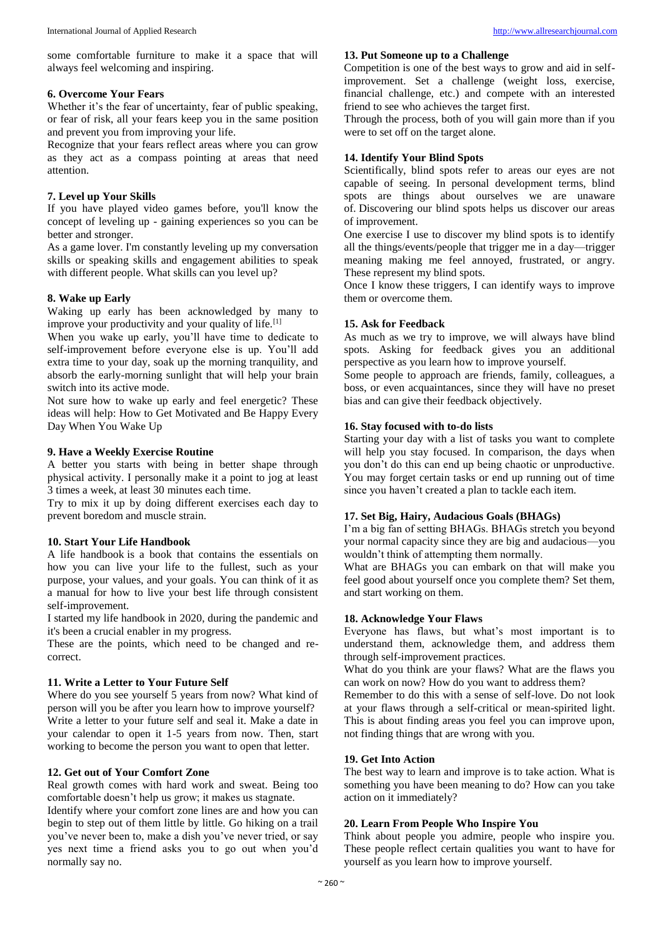some comfortable furniture to make it a space that will always feel welcoming and inspiring.

## **6. Overcome Your Fears**

Whether it's the fear of uncertainty, fear of public speaking, or fear of risk, all your fears keep you in the same position and prevent you from improving your life.

Recognize that your fears reflect areas where you can grow as they act as a compass pointing at areas that need attention.

# **7. Level up Your Skills**

If you have played video games before, you'll know the concept of leveling up - gaining experiences so you can be better and stronger.

As a game lover. I'm constantly leveling up my conversation skills or speaking skills and engagement abilities to speak with different people. What skills can you level up?

# **8. Wake up Early**

Waking up early has been acknowledged by many to improve your productivity and your quality of life.<sup>[1]</sup>

When you wake up early, you'll have time to dedicate to self-improvement before everyone else is up. You'll add extra time to your day, soak up the morning tranquility, and absorb the early-morning sunlight that will help your brain switch into its active mode.

Not sure how to wake up early and feel energetic? These ideas will help: How to Get Motivated and Be Happy Every Day When You Wake Up

# **9. Have a Weekly Exercise Routine**

A better you starts with being in better shape through physical activity. I personally make it a point to jog at least 3 times a week, at least 30 minutes each time.

Try to mix it up by doing different exercises each day to prevent boredom and muscle strain.

# **10. Start Your Life Handbook**

A life handbook is a book that contains the essentials on how you can live your life to the fullest, such as your purpose, your values, and your goals. You can think of it as a manual for how to live your best life through consistent self-improvement.

I started my life handbook in 2020, during the pandemic and it's been a crucial enabler in my progress.

These are the points, which need to be changed and recorrect.

# **11. Write a Letter to Your Future Self**

Where do you see yourself 5 years from now? What kind of person will you be after you learn how to improve yourself? Write a letter to your future self and seal it. Make a date in your calendar to open it 1-5 years from now. Then, start working to become the person you want to open that letter.

# **12. Get out of Your Comfort Zone**

Real growth comes with hard work and sweat. Being too comfortable doesn't help us grow; it makes us stagnate.

Identify where your comfort zone lines are and how you can begin to step out of them little by little. Go hiking on a trail you've never been to, make a dish you've never tried, or say yes next time a friend asks you to go out when you'd normally say no.

## **13. Put Someone up to a Challenge**

Competition is one of the best ways to grow and aid in selfimprovement. Set a challenge (weight loss, exercise, financial challenge, etc.) and compete with an interested friend to see who achieves the target first.

Through the process, both of you will gain more than if you were to set off on the target alone.

# **14. Identify Your Blind Spots**

Scientifically, blind spots refer to areas our eyes are not capable of seeing. In personal development terms, blind spots are things about ourselves we are unaware of. Discovering our blind spots helps us discover our areas of improvement.

One exercise I use to discover my blind spots is to identify all the things/events/people that trigger me in a day—trigger meaning making me feel annoyed, frustrated, or angry. These represent my blind spots.

Once I know these triggers, I can identify ways to improve them or overcome them.

# **15. Ask for Feedback**

As much as we try to improve, we will always have blind spots. Asking for feedback gives you an additional perspective as you learn how to improve yourself.

Some people to approach are friends, family, colleagues, a boss, or even acquaintances, since they will have no preset bias and can give their feedback objectively.

# **16. Stay focused with to-do lists**

Starting your day with a list of tasks you want to complete will help you stay focused. In comparison, the days when you don't do this can end up being chaotic or unproductive. You may forget certain tasks or end up running out of time since you haven't created a plan to tackle each item.

# **17. Set Big, Hairy, Audacious Goals (BHAGs)**

I'm a big fan of setting BHAGs. BHAGs stretch you beyond your normal capacity since they are big and audacious—you wouldn't think of attempting them normally.

What are BHAGs you can embark on that will make you feel good about yourself once you complete them? Set them, and start working on them.

# **18. Acknowledge Your Flaws**

Everyone has flaws, but what's most important is to understand them, acknowledge them, and address them through self-improvement practices.

What do you think are your flaws? What are the flaws you can work on now? How do you want to address them?

Remember to do this with a sense of self-love. Do not look at your flaws through a self-critical or mean-spirited light. This is about finding areas you feel you can improve upon, not finding things that are wrong with you.

# **19. Get Into Action**

The best way to learn and improve is to take action. What is something you have been meaning to do? How can you take action on it immediately?

# **20. Learn From People Who Inspire You**

Think about people you admire, people who inspire you. These people reflect certain qualities you want to have for yourself as you learn how to improve yourself.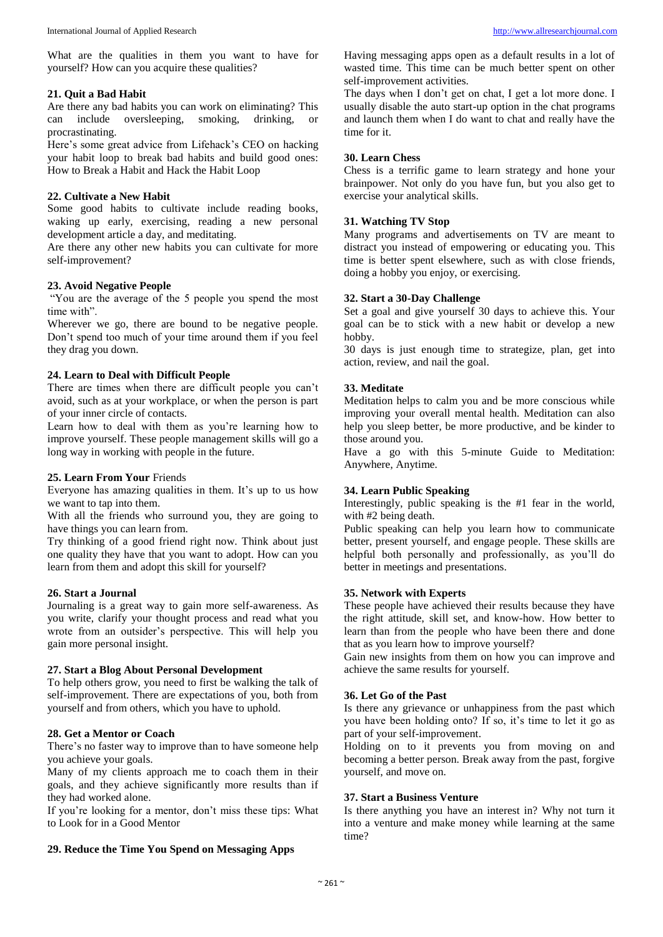What are the qualities in them you want to have for yourself? How can you acquire these qualities?

## **21. Quit a Bad Habit**

Are there any bad habits you can work on eliminating? This can include oversleeping, smoking, drinking, procrastinating.

Here's some great advice from Lifehack's CEO on hacking your habit loop to break bad habits and build good ones: How to Break a Habit and Hack the Habit Loop

#### **22. Cultivate a New Habit**

Some good habits to cultivate include reading books, waking up early, exercising, reading a new personal development article a day, and meditating.

Are there any other new habits you can cultivate for more self-improvement?

#### **23. Avoid Negative People**

"You are the average of the 5 people you spend the most time with"

Wherever we go, there are bound to be negative people. Don't spend too much of your time around them if you feel they drag you down.

## **24. Learn to Deal with Difficult People**

There are times when there are difficult people you can't avoid, such as at your workplace, or when the person is part of your inner circle of contacts.

Learn how to deal with them as you're learning how to improve yourself. These people management skills will go a long way in working with people in the future.

#### **25. Learn From Your** Friends

Everyone has amazing qualities in them. It's up to us how we want to tap into them.

With all the friends who surround you, they are going to have things you can learn from.

Try thinking of a good friend right now. Think about just one quality they have that you want to adopt. How can you learn from them and adopt this skill for yourself?

## **26. Start a Journal**

Journaling is a great way to gain more self-awareness. As you write, clarify your thought process and read what you wrote from an outsider's perspective. This will help you gain more personal insight.

#### **27. Start a Blog About Personal Development**

To help others grow, you need to first be walking the talk of self-improvement. There are expectations of you, both from yourself and from others, which you have to uphold.

#### **28. Get a Mentor or Coach**

There's no faster way to improve than to have someone help you achieve your goals.

Many of my clients approach me to coach them in their goals, and they achieve significantly more results than if they had worked alone.

If you're looking for a mentor, don't miss these tips: What to Look for in a Good Mentor

#### **29. Reduce the Time You Spend on Messaging Apps**

Having messaging apps open as a default results in a lot of wasted time. This time can be much better spent on other self-improvement activities.

The days when I don't get on chat, I get a lot more done. I usually disable the auto start-up option in the chat programs and launch them when I do want to chat and really have the time for it.

### **30. Learn Chess**

Chess is a terrific game to learn strategy and hone your brainpower. Not only do you have fun, but you also get to exercise your analytical skills.

## **31. Watching TV Stop**

Many programs and advertisements on TV are meant to distract you instead of empowering or educating you. This time is better spent elsewhere, such as with close friends, doing a hobby you enjoy, or exercising.

# **32. Start a 30-Day Challenge**

Set a goal and give yourself 30 days to achieve this. Your goal can be to stick with a new habit or develop a new hobby.

30 days is just enough time to strategize, plan, get into action, review, and nail the goal.

#### **33. Meditate**

Meditation helps to calm you and be more conscious while improving your overall mental health. Meditation can also help you sleep better, be more productive, and be kinder to those around you.

Have a go with this 5-minute Guide to Meditation: Anywhere, Anytime.

#### **34. Learn Public Speaking**

Interestingly, public speaking is the #1 fear in the world, with #2 being death.

Public speaking can help you learn how to communicate better, present yourself, and engage people. These skills are helpful both personally and professionally, as you'll do better in meetings and presentations.

## **35. Network with Experts**

These people have achieved their results because they have the right attitude, skill set, and know-how. How better to learn than from the people who have been there and done that as you learn how to improve yourself?

Gain new insights from them on how you can improve and achieve the same results for yourself.

#### **36. Let Go of the Past**

Is there any grievance or unhappiness from the past which you have been holding onto? If so, it's time to let it go as part of your self-improvement.

Holding on to it prevents you from moving on and becoming a better person. Break away from the past, forgive yourself, and move on.

## **37. Start a Business Venture**

Is there anything you have an interest in? Why not turn it into a venture and make money while learning at the same time?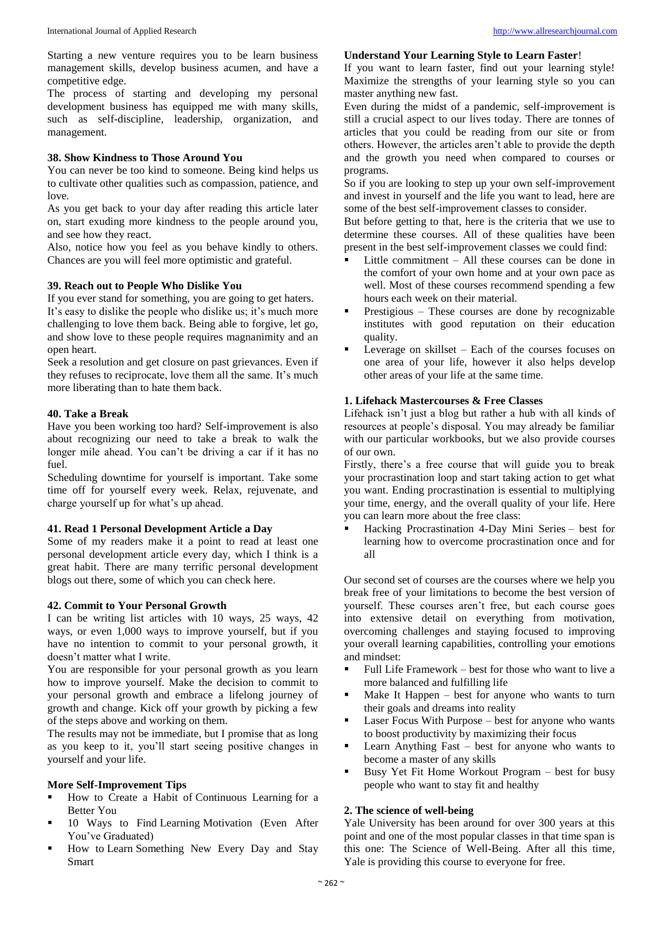Starting a new venture requires you to be learn business management skills, develop business acumen, and have a competitive edge.

The process of starting and developing my personal development business has equipped me with many skills, such as self-discipline, leadership, organization, and management.

#### **38. Show Kindness to Those Around You**

You can never be too kind to someone. Being kind helps us to cultivate other qualities such as compassion, patience, and love.

As you get back to your day after reading this article later on, start exuding more kindness to the people around you, and see how they react.

Also, notice how you feel as you behave kindly to others. Chances are you will feel more optimistic and grateful.

#### **39. Reach out to People Who Dislike You**

If you ever stand for something, you are going to get haters. It's easy to dislike the people who dislike us; it's much more challenging to love them back. Being able to forgive, let go, and show love to these people requires magnanimity and an open heart.

Seek a resolution and get closure on past grievances. Even if they refuses to reciprocate, love them all the same. It's much more liberating than to hate them back.

## **40. Take a Break**

Have you been working too hard? Self-improvement is also about recognizing our need to take a break to walk the longer mile ahead. You can't be driving a car if it has no fuel.

Scheduling downtime for yourself is important. Take some time off for yourself every week. Relax, rejuvenate, and charge yourself up for what's up ahead.

## **41. Read 1 Personal Development Article a Day**

Some of my readers make it a point to read at least one personal development article every day, which I think is a great habit. There are many terrific personal development blogs out there, some of which you can check here.

#### **42. Commit to Your Personal Growth**

I can be writing list articles with 10 ways, 25 ways, 42 ways, or even 1,000 ways to improve yourself, but if you have no intention to commit to your personal growth, it doesn't matter what I write.

You are responsible for your personal growth as you learn how to improve yourself. Make the decision to commit to your personal growth and embrace a lifelong journey of growth and change. Kick off your growth by picking a few of the steps above and working on them.

The results may not be immediate, but I promise that as long as you keep to it, you'll start seeing positive changes in yourself and your life.

#### **More Self-Improvement Tips**

- How to Create a Habit of Continuous Learning for a Better You
- 10 Ways to Find Learning Motivation (Even After You've Graduated)
- How to Learn Something New Every Day and Stay Smart

#### **Understand Your Learning Style to Learn Faster**!

If you want to learn faster, find out your learning style! Maximize the strengths of your learning style so you can master anything new fast.

Even during the midst of a pandemic, self-improvement is still a crucial aspect to our lives today. There are tonnes of articles that you could be reading from our site or from others. However, the articles aren't able to provide the depth and the growth you need when compared to courses or programs.

So if you are looking to step up your own self-improvement and invest in yourself and the life you want to lead, here are some of the best self-improvement classes to consider.

But before getting to that, here is the criteria that we use to determine these courses. All of these qualities have been present in the best self-improvement classes we could find:

- Little commitment All these courses can be done in the comfort of your own home and at your own pace as well. Most of these courses recommend spending a few hours each week on their material.
- Prestigious These courses are done by recognizable institutes with good reputation on their education quality.
- Leverage on skillset Each of the courses focuses on one area of your life, however it also helps develop other areas of your life at the same time.

# **1. Lifehack Mastercourses & Free Classes**

Lifehack isn't just a blog but rather a hub with all kinds of resources at people's disposal. You may already be familiar with our particular workbooks, but we also provide courses of our own.

Firstly, there's a free course that will guide you to break your procrastination loop and start taking action to get what you want. Ending procrastination is essential to multiplying your time, energy, and the overall quality of your life. Here you can learn more about the free class:

 Hacking Procrastination 4-Day Mini Series – best for learning how to overcome procrastination once and for all

Our second set of courses are the courses where we help you break free of your limitations to become the best version of yourself. These courses aren't free, but each course goes into extensive detail on everything from motivation, overcoming challenges and staying focused to improving your overall learning capabilities, controlling your emotions and mindset:

- Full Life Framework best for those who want to live a more balanced and fulfilling life
- Make It Happen best for anyone who wants to turn their goals and dreams into reality
- Laser Focus With Purpose best for anyone who wants to boost productivity by maximizing their focus
- Learn Anything Fast best for anyone who wants to become a master of any skills
- Busy Yet Fit Home Workout Program best for busy people who want to stay fit and healthy

#### **2. The science of well-being**

Yale University has been around for over 300 years at this point and one of the most popular classes in that time span is this one: The Science of Well-Being. After all this time, Yale is providing this course to everyone for free.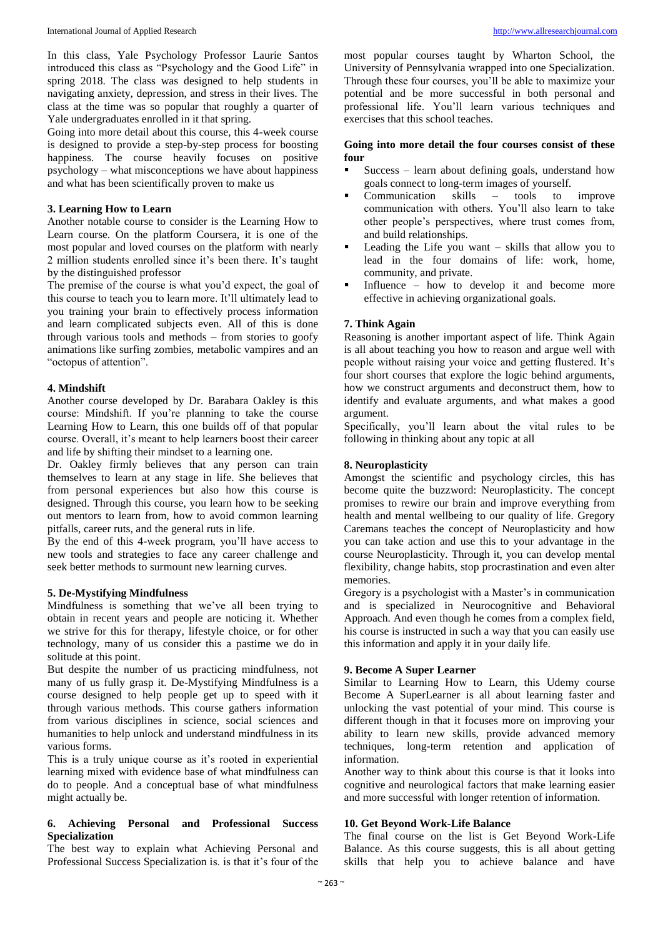In this class, Yale Psychology Professor Laurie Santos introduced this class as "Psychology and the Good Life" in spring 2018. The class was designed to help students in navigating anxiety, depression, and stress in their lives. The class at the time was so popular that roughly a quarter of Yale undergraduates enrolled in it that spring.

Going into more detail about this course, this 4-week course is designed to provide a step-by-step process for boosting happiness. The course heavily focuses on positive psychology – what misconceptions we have about happiness and what has been scientifically proven to make us

## **3. Learning How to Learn**

Another notable course to consider is the Learning How to Learn course. On the platform Coursera, it is one of the most popular and loved courses on the platform with nearly 2 million students enrolled since it's been there. It's taught by the distinguished professor

The premise of the course is what you'd expect, the goal of this course to teach you to learn more. It'll ultimately lead to you training your brain to effectively process information and learn complicated subjects even. All of this is done through various tools and methods – from stories to goofy animations like surfing zombies, metabolic vampires and an "octopus of attention".

## **4. Mindshift**

Another course developed by Dr. Barabara Oakley is this course: Mindshift. If you're planning to take the course Learning How to Learn, this one builds off of that popular course. Overall, it's meant to help learners boost their career and life by shifting their mindset to a learning one.

Dr. Oakley firmly believes that any person can train themselves to learn at any stage in life. She believes that from personal experiences but also how this course is designed. Through this course, you learn how to be seeking out mentors to learn from, how to avoid common learning pitfalls, career ruts, and the general ruts in life.

By the end of this 4-week program, you'll have access to new tools and strategies to face any career challenge and seek better methods to surmount new learning curves.

# **5. De-Mystifying Mindfulness**

Mindfulness is something that we've all been trying to obtain in recent years and people are noticing it. Whether we strive for this for therapy, lifestyle choice, or for other technology, many of us consider this a pastime we do in solitude at this point.

But despite the number of us practicing mindfulness, not many of us fully grasp it. De-Mystifying Mindfulness is a course designed to help people get up to speed with it through various methods. This course gathers information from various disciplines in science, social sciences and humanities to help unlock and understand mindfulness in its various forms.

This is a truly unique course as it's rooted in experiential learning mixed with evidence base of what mindfulness can do to people. And a conceptual base of what mindfulness might actually be.

## **6. Achieving Personal and Professional Success Specialization**

The best way to explain what Achieving Personal and Professional Success Specialization is. is that it's four of the

most popular courses taught by Wharton School, the University of Pennsylvania wrapped into one Specialization. Through these four courses, you'll be able to maximize your potential and be more successful in both personal and professional life. You'll learn various techniques and exercises that this school teaches.

## **Going into more detail the four courses consist of these four**

- Success learn about defining goals, understand how goals connect to long-term images of yourself.
- Communication skills tools to improve communication with others. You'll also learn to take other people's perspectives, where trust comes from, and build relationships.
- Leading the Life you want skills that allow you to lead in the four domains of life: work, home, community, and private.
- Influence how to develop it and become more effective in achieving organizational goals.

# **7. Think Again**

Reasoning is another important aspect of life. Think Again is all about teaching you how to reason and argue well with people without raising your voice and getting flustered. It's four short courses that explore the logic behind arguments, how we construct arguments and deconstruct them, how to identify and evaluate arguments, and what makes a good argument.

Specifically, you'll learn about the vital rules to be following in thinking about any topic at all

## **8. Neuroplasticity**

Amongst the scientific and psychology circles, this has become quite the buzzword: Neuroplasticity. The concept promises to rewire our brain and improve everything from health and mental wellbeing to our quality of life. Gregory Caremans teaches the concept of Neuroplasticity and how you can take action and use this to your advantage in the course Neuroplasticity. Through it, you can develop mental flexibility, change habits, stop procrastination and even alter memories.

Gregory is a psychologist with a Master's in communication and is specialized in Neurocognitive and Behavioral Approach. And even though he comes from a complex field, his course is instructed in such a way that you can easily use this information and apply it in your daily life.

#### **9. Become A Super Learner**

Similar to Learning How to Learn, this Udemy course Become A SuperLearner is all about learning faster and unlocking the vast potential of your mind. This course is different though in that it focuses more on improving your ability to learn new skills, provide advanced memory techniques, long-term retention and application of information.

Another way to think about this course is that it looks into cognitive and neurological factors that make learning easier and more successful with longer retention of information.

# **10. Get Beyond Work-Life Balance**

The final course on the list is Get Beyond Work-Life Balance. As this course suggests, this is all about getting skills that help you to achieve balance and have